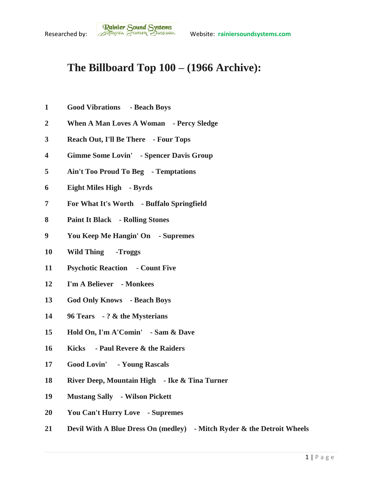## **The Billboard Top 100 – (1966 Archive):**

- **Good Vibrations - Beach Boys**
- **When A Man Loves A Woman - Percy Sledge**
- **Reach Out, I'll Be There - Four Tops**
- **Gimme Some Lovin' - Spencer Davis Group**
- **Ain't Too Proud To Beg - Temptations**
- **Eight Miles High - Byrds**
- **For What It's Worth - Buffalo Springfield**
- **Paint It Black - Rolling Stones**
- **You Keep Me Hangin' On - Supremes**
- **Wild Thing -Troggs**
- **Psychotic Reaction - Count Five**
- **I'm A Believer - Monkees**
- **God Only Knows - Beach Boys**
- **96 Tears - ? & the Mysterians**
- **Hold On, I'm A'Comin' - Sam & Dave**
- **Kicks - Paul Revere & the Raiders**
- **Good Lovin' - Young Rascals**
- **River Deep, Mountain High - Ike & Tina Turner**
- **Mustang Sally - Wilson Pickett**
- **You Can't Hurry Love - Supremes**
- **Devil With A Blue Dress On (medley) - Mitch Ryder & the Detroit Wheels**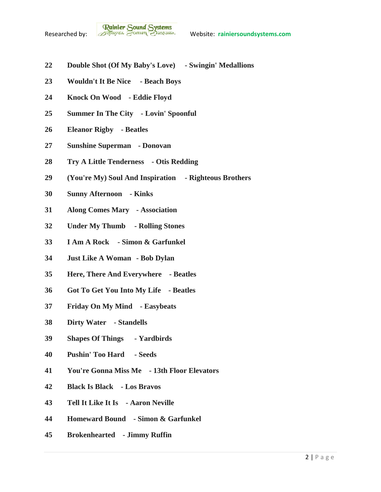- **Double Shot (Of My Baby's Love) - Swingin' Medallions**
- **Wouldn't It Be Nice - Beach Boys**
- **Knock On Wood - Eddie Floyd**
- **Summer In The City - Lovin' Spoonful**
- **Eleanor Rigby - Beatles**
- **Sunshine Superman - Donovan**
- **Try A Little Tenderness - Otis Redding**
- **(You're My) Soul And Inspiration - Righteous Brothers**
- **Sunny Afternoon - Kinks**
- **Along Comes Mary - Association**
- **Under My Thumb - Rolling Stones**
- **I Am A Rock - Simon & Garfunkel**
- **Just Like A Woman - Bob Dylan**
- **Here, There And Everywhere - Beatles**
- **Got To Get You Into My Life - Beatles**
- **Friday On My Mind - Easybeats**
- **Dirty Water - Standells**
- **Shapes Of Things - Yardbirds**
- **Pushin' Too Hard - Seeds**
- **You're Gonna Miss Me - 13th Floor Elevators**
- **Black Is Black - Los Bravos**
- **Tell It Like It Is - Aaron Neville**
- **Homeward Bound - Simon & Garfunkel**
- **Brokenhearted - Jimmy Ruffin**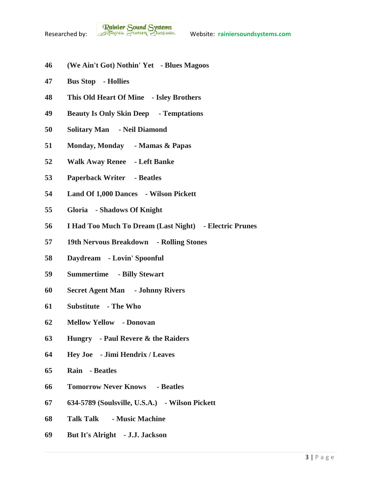- **(We Ain't Got) Nothin' Yet - Blues Magoos**
- **Bus Stop - Hollies**
- **This Old Heart Of Mine - Isley Brothers**
- **Beauty Is Only Skin Deep - Temptations**
- **Solitary Man - Neil Diamond**
- **Monday, Monday - Mamas & Papas**
- **Walk Away Renee - Left Banke**
- **Paperback Writer - Beatles**
- **Land Of 1,000 Dances - Wilson Pickett**
- **Gloria - Shadows Of Knight**
- **I Had Too Much To Dream (Last Night) - Electric Prunes**
- **19th Nervous Breakdown - Rolling Stones**
- **Daydream - Lovin' Spoonful**
- **Summertime - Billy Stewart**
- **Secret Agent Man - Johnny Rivers**
- **Substitute - The Who**
- **Mellow Yellow - Donovan**
- **Hungry - Paul Revere & the Raiders**
- **Hey Joe - Jimi Hendrix / Leaves**
- **Rain - Beatles**
- **Tomorrow Never Knows - Beatles**
- **634-5789 (Soulsville, U.S.A.) - Wilson Pickett**
- **Talk Talk - Music Machine**
- **But It's Alright - J.J. Jackson**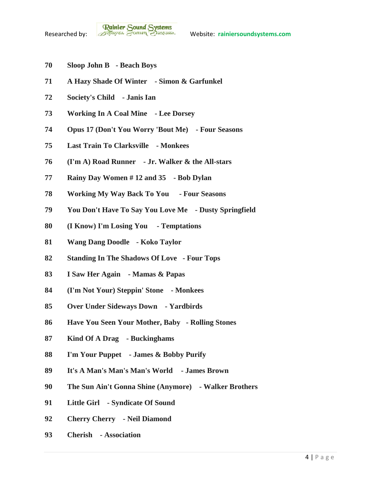- **Sloop John B - Beach Boys**
- **A Hazy Shade Of Winter - Simon & Garfunkel**
- **Society's Child - Janis Ian**
- **Working In A Coal Mine - Lee Dorsey**
- **Opus 17 (Don't You Worry 'Bout Me) - Four Seasons**
- **Last Train To Clarksville - Monkees**
- **(I'm A) Road Runner - Jr. Walker & the All-stars**
- **Rainy Day Women # 12 and 35 - Bob Dylan**
- **Working My Way Back To You - Four Seasons**
- **You Don't Have To Say You Love Me - Dusty Springfield**
- **(I Know) I'm Losing You - Temptations**
- **Wang Dang Doodle - Koko Taylor**
- **Standing In The Shadows Of Love - Four Tops**
- **I Saw Her Again - Mamas & Papas**
- **(I'm Not Your) Steppin' Stone - Monkees**
- **Over Under Sideways Down - Yardbirds**
- **Have You Seen Your Mother, Baby - Rolling Stones**
- **Kind Of A Drag - Buckinghams**
- **I'm Your Puppet - James & Bobby Purify**
- **It's A Man's Man's Man's World - James Brown**
- **The Sun Ain't Gonna Shine (Anymore) - Walker Brothers**
- **Little Girl - Syndicate Of Sound**
- **Cherry Cherry - Neil Diamond**
- **Cherish - Association**